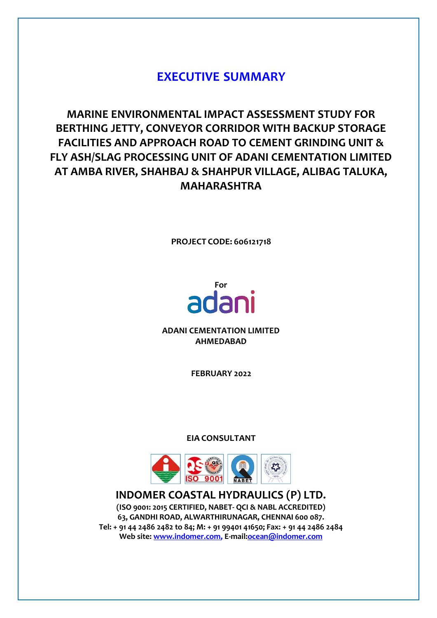# **EXECUTIVE SUMMARY**

**MARINE ENVIRONMENTAL IMPACT ASSESSMENT STUDY FOR BERTHING JETTY, CONVEYOR CORRIDOR WITH BACKUP STORAGE FACILITIES AND APPROACH ROAD TO CEMENT GRINDING UNIT & FLY ASH/SLAG PROCESSING UNIT OF ADANI CEMENTATION LIMITED AT AMBA RIVER, SHAHBAJ & SHAHPUR VILLAGE, ALIBAG TALUKA, MAHARASHTRA**

**PROJECT CODE: 606121718**

# adani

**ADANI CEMENTATION LIMITED AHMEDABAD**

**FEBRUARY 2022**

**EIA CONSULTANT**



**INDOMER COASTAL HYDRAULICS (P) LTD. (ISO 9001: 2015 CERTIFIED, NABET- QCI & NABL ACCREDITED) 63, GANDHI ROAD, ALWARTHIRUNAGAR, CHENNAI 600 087. Tel: + 91 44 2486 2482 to 84; M: + 91 99401 41650; Fax: + 91 44 2486 2484 Web site: [www.indomer.com,](http://www.indomer.com/) E-mail:ocean@indomer.com**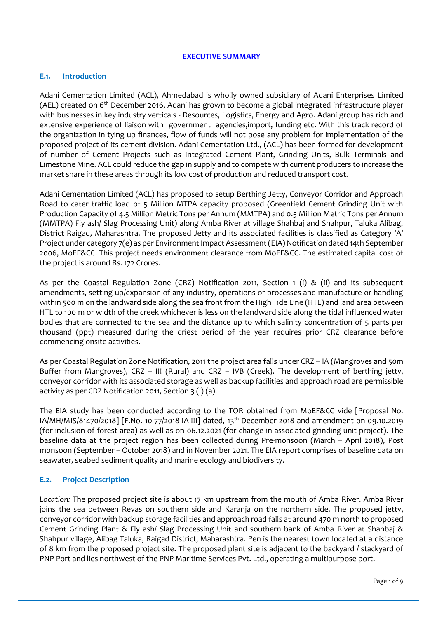#### **EXECUTIVE SUMMARY**

#### **E.1. Introduction**

Adani Cementation Limited (ACL), Ahmedabad is wholly owned subsidiary of Adani Enterprises Limited (AEL) created on 6<sup>th</sup> December 2016, Adani has grown to become a global integrated infrastructure player with businesses in key industry verticals - Resources, Logistics, Energy and Agro. Adani group has rich and extensive experience of liaison with government agencies,import, funding etc. With this track record of the organization in tying up finances, flow of funds will not pose any problem for implementation of the proposed project of its cement division. Adani Cementation Ltd., (ACL) has been formed for development of number of Cement Projects such as Integrated Cement Plant, Grinding Units, Bulk Terminals and Limestone Mine. ACL could reduce the gap in supply and to compete with current producers to increase the market share in these areas through its low cost of production and reduced transport cost.

Adani Cementation Limited (ACL) has proposed to setup Berthing Jetty, Conveyor Corridor and Approach Road to cater traffic load of 5 Million MTPA capacity proposed (Greenfield Cement Grinding Unit with Production Capacity of 4.5 Million Metric Tons per Annum (MMTPA) and 0.5 Million Metric Tons per Annum (MMTPA) Fly ash/ Slag Processing Unit) along Amba River at village Shahbaj and Shahpur, Taluka Alibag, District Raigad, Maharashtra. The proposed Jetty and its associated facilities is classified as Category 'A' Project under category 7(e) as per Environment Impact Assessment (EIA) Notification dated 14th September 2006, MoEF&CC. This project needs environment clearance from MoEF&CC. The estimated capital cost of the project is around Rs. 172 Crores.

As per the Coastal Regulation Zone (CRZ) Notification 2011, Section 1 (i) & (ii) and its subsequent amendments, setting up/expansion of any industry, operations or processes and manufacture or handling within 500 m on the landward side along the sea front from the High Tide Line (HTL) and land area between HTL to 100 m or width of the creek whichever is less on the landward side along the tidal influenced water bodies that are connected to the sea and the distance up to which salinity concentration of 5 parts per thousand (ppt) measured during the driest period of the year requires prior CRZ clearance before commencing onsite activities.

As per Coastal Regulation Zone Notification, 2011 the project area falls under CRZ – IA (Mangroves and 50m Buffer from Mangroves), CRZ – III (Rural) and CRZ – IVB (Creek). The development of berthing jetty, conveyor corridor with its associated storage as well as backup facilities and approach road are permissible activity as per CRZ Notification 2011, Section 3 (i) (a).

The EIA study has been conducted according to the TOR obtained from MoEF&CC vide [Proposal No. IA/MH/MIS/81470/2018] [F.No. 10-77/2018-IA-III] dated, 13th December 2018 and amendment on 09.10.2019 (for inclusion of forest area) as well as on 06.12.2021 (for change in associated grinding unit project). The baseline data at the project region has been collected during Pre-monsoon (March – April 2018), Post monsoon (September – October 2018) and in November 2021. The EIA report comprises of baseline data on seawater, seabed sediment quality and marine ecology and biodiversity.

#### **E.2. Project Description**

*Location:* The proposed project site is about 17 km upstream from the mouth of Amba River. Amba River joins the sea between Revas on southern side and Karanja on the northern side. The proposed jetty, conveyor corridor with backup storage facilities and approach road falls at around 470 m north to proposed Cement Grinding Plant & Fly ash/ Slag Processing Unit and southern bank of Amba River at Shahbaj & Shahpur village, Alibag Taluka, Raigad District, Maharashtra. Pen is the nearest town located at a distance of 8 km from the proposed project site. The proposed plant site is adjacent to the backyard / stackyard of PNP Port and lies northwest of the PNP Maritime Services Pvt. Ltd., operating a multipurpose port.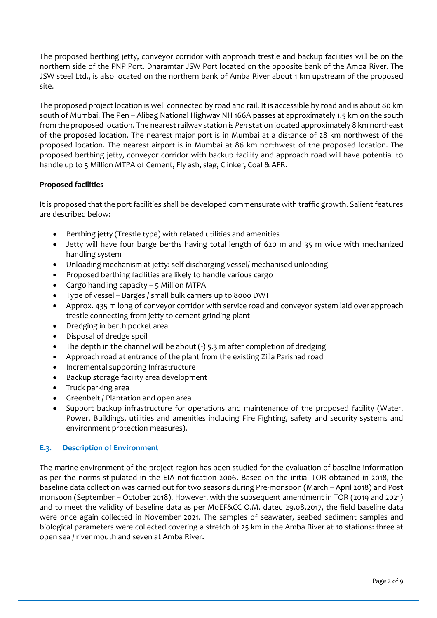The proposed berthing jetty, conveyor corridor with approach trestle and backup facilities will be on the northern side of the PNP Port. Dharamtar JSW Port located on the opposite bank of the Amba River. The JSW steel Ltd., is also located on the northern bank of Amba River about 1 km upstream of the proposed site.

The proposed project location is well connected by road and rail. It is accessible by road and is about 80 km south of Mumbai. The Pen – Alibag National Highway NH 166A passes at approximately 1.5 km on the south from the proposed location. The nearest railway station is *Pen* station located approximately 8 km northeast of the proposed location. The nearest major port is in Mumbai at a distance of 28 km northwest of the proposed location. The nearest airport is in Mumbai at 86 km northwest of the proposed location. The proposed berthing jetty, conveyor corridor with backup facility and approach road will have potential to handle up to 5 Million MTPA of Cement, Fly ash, slag, Clinker, Coal & AFR.

# **Proposed facilities**

It is proposed that the port facilities shall be developed commensurate with traffic growth. Salient features are described below:

- Berthing jetty (Trestle type) with related utilities and amenities
- Jetty will have four barge berths having total length of 620 m and 35 m wide with mechanized handling system
- Unloading mechanism at jetty: self-discharging vessel/ mechanised unloading
- Proposed berthing facilities are likely to handle various cargo
- Cargo handling capacity 5 Million MTPA
- Type of vessel Barges / small bulk carriers up to 8000 DWT
- Approx. 435 m long of conveyor corridor with service road and conveyor system laid over approach trestle connecting from jetty to cement grinding plant
- Dredging in berth pocket area
- Disposal of dredge spoil
- The depth in the channel will be about  $(-)$  5.3 m after completion of dredging
- Approach road at entrance of the plant from the existing Zilla Parishad road
- Incremental supporting Infrastructure
- Backup storage facility area development
- Truck parking area
- Greenbelt / Plantation and open area
- Support backup infrastructure for operations and maintenance of the proposed facility (Water, Power, Buildings, utilities and amenities including Fire Fighting, safety and security systems and environment protection measures).

# **E.3. Description of Environment**

The marine environment of the project region has been studied for the evaluation of baseline information as per the norms stipulated in the EIA notification 2006. Based on the initial TOR obtained in 2018, the baseline data collection was carried out for two seasons during Pre-monsoon (March – April 2018) and Post monsoon (September – October 2018). However, with the subsequent amendment in TOR (2019 and 2021) and to meet the validity of baseline data as per MoEF&CC O.M. dated 29.08.2017, the field baseline data were once again collected in November 2021. The samples of seawater, seabed sediment samples and biological parameters were collected covering a stretch of 25 km in the Amba River at 10 stations: three at open sea / river mouth and seven at Amba River.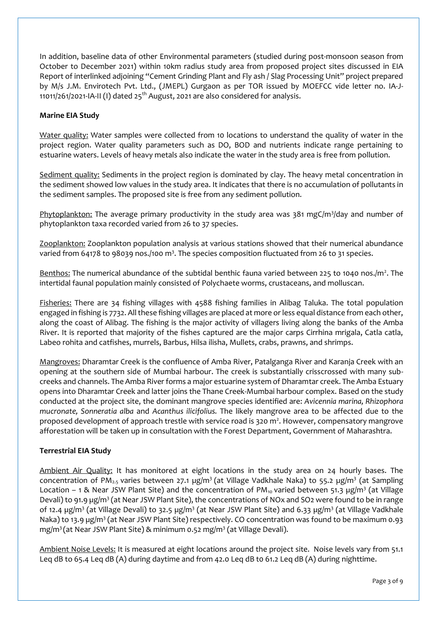In addition, baseline data of other Environmental parameters (studied during post-monsoon season from October to December 2021) within 10km radius study area from proposed project sites discussed in EIA Report of interlinked adjoining "Cement Grinding Plant and Fly ash / Slag Processing Unit" project prepared by M/s J.M. Envirotech Pvt. Ltd., (JMEPL) Gurgaon as per TOR issued by MOEFCC vide letter no. IA-J-11011/261/2021-IA-II (I) dated  $25<sup>th</sup>$  August, 2021 are also considered for analysis.

# **Marine EIA Study**

Water quality: Water samples were collected from 10 locations to understand the quality of water in the project region. Water quality parameters such as DO, BOD and nutrients indicate range pertaining to estuarine waters. Levels of heavy metals also indicate the water in the study area is free from pollution.

Sediment quality: Sediments in the project region is dominated by clay. The heavy metal concentration in the sediment showed low values in the study area. It indicates that there is no accumulation of pollutants in the sediment samples. The proposed site is free from any sediment pollution.

Phytoplankton: The average primary productivity in the study area was 381 mgC/m<sup>3</sup>/day and number of phytoplankton taxa recorded varied from 26 to 37 species.

Zooplankton: Zooplankton population analysis at various stations showed that their numerical abundance varied from 64178 to 98039 nos./100 m<sup>3</sup>. The species composition fluctuated from 26 to 31 species.

Benthos: The numerical abundance of the subtidal benthic fauna varied between 225 to 1040 nos./m<sup>2</sup>. The intertidal faunal population mainly consisted of Polychaete worms, crustaceans, and molluscan.

Fisheries: There are 34 fishing villages with 4588 fishing families in Alibag Taluka. The total population engaged in fishing is 7732. All these fishing villages are placed at more or less equal distance from each other, along the coast of Alibag. The fishing is the major activity of villagers living along the banks of the Amba River. It is reported that majority of the fishes captured are the major carps Cirrhina mrigala, Catla catla, Labeo rohita and catfishes, murrels, Barbus, Hilsa ilisha, Mullets, crabs, prawns, and shrimps.

Mangroves: Dharamtar Creek is the confluence of Amba River, Patalganga River and Karanja Creek with an opening at the southern side of Mumbai harbour. The creek is substantially crisscrossed with many subcreeks and channels. The Amba River forms a major estuarine system of Dharamtar creek. The Amba Estuary opens into Dharamtar Creek and latter joins the Thane Creek-Mumbai harbour complex. Based on the study conducted at the project site, the dominant mangrove species identified are: *Avicennia marina, Rhizophora mucronate, Sonneratia alba* and *Acanthus ilicifolius.* The likely mangrove area to be affected due to the proposed development of approach trestle with service road is 320 m<sup>2</sup>. However, compensatory mangrove afforestation will be taken up in consultation with the Forest Department, Government of Maharashtra.

# **Terrestrial EIA Study**

Ambient Air Quality: It has monitored at eight locations in the study area on 24 hourly bases. The concentration of PM<sub>2.5</sub> varies between 27.1 µg/m<sup>3</sup> (at Village Vadkhale Naka) to 55.2 µg/m<sup>3</sup> (at Sampling Location – 1 & Near JSW Plant Site) and the concentration of PM<sub>10</sub> varied between 51.3 µg/m<sup>3</sup> (at Village Devali) to 91.9 µg/m<sup>3</sup> (at Near JSW Plant Site), the concentrations of NOx and SO2 were found to be in range of 12.4 µg/m<sup>3</sup> (at Village Devali) to 32.5 µg/m<sup>3</sup> (at Near JSW Plant Site) and 6.33 µg/m<sup>3</sup> (at Village Vadkhale Naka) to 13.9 µg/m<sup>3</sup> (at Near JSW Plant Site) respectively. CO concentration was found to be maximum 0.93 mg/m<sup>3</sup>(at Near JSW Plant Site) & minimum 0.52 mg/m<sup>3</sup> (at Village Devali).

Ambient Noise Levels: It is measured at eight locations around the project site. Noise levels vary from 51.1 Leq dB to 65.4 Leq dB (A) during daytime and from 42.0 Leq dB to 61.2 Leq dB (A) during nighttime.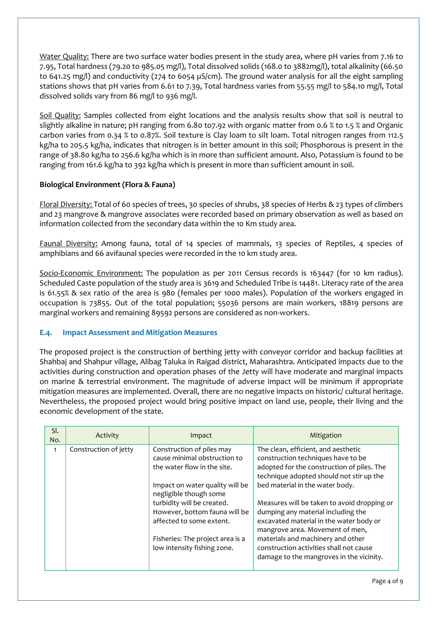Water Quality: There are two surface water bodies present in the study area, where pH varies from 7.16 to 7.95, Total hardness (79.20 to 985.05 mg/l), Total dissolved solids (168.0 to 3882mg/l), total alkalinity (66.50 to 641.25 mg/l) and conductivity (274 to 6054 µS/cm). The ground water analysis for all the eight sampling stations shows that pH varies from 6.61 to 7.39, Total hardness varies from 55.55 mg/l to 584.10 mg/l, Total dissolved solids vary from 86 mg/l to 936 mg/l.

Soil Quality: Samples collected from eight locations and the analysis results show that soil is neutral to slightly alkaline in nature; pH ranging from 6.80 to7.92 with organic matter from 0.6 % to 1.5 % and Organic carbon varies from 0.34 % to 0.87%. Soil texture is Clay loam to silt loam. Total nitrogen ranges from 112.5 kg/ha to 205.5 kg/ha, indicates that nitrogen is in better amount in this soil; Phosphorous is present in the range of 38.80 kg/ha to 256.6 kg/ha which is in more than sufficient amount. Also, Potassium is found to be ranging from 161.6 kg/ha to 392 kg/ha which is present in more than sufficient amount in soil.

# **Biological Environment (Flora & Fauna)**

Floral Diversity: Total of 60 species of trees, 30 species of shrubs, 38 species of Herbs & 23 types of climbers and 23 mangrove & mangrove associates were recorded based on primary observation as well as based on information collected from the secondary data within the 10 Km study area.

Faunal Diversity: Among fauna, total of 14 species of mammals, 13 species of Reptiles, 4 species of amphibians and 66 avifaunal species were recorded in the 10 km study area.

Socio-Economic Environment: The population as per 2011 Census records is 163447 (for 10 km radius). Scheduled Caste population of the study area is 3619 and Scheduled Tribe is 14481. Literacy rate of the area is 61.55% & sex ratio of the area is 980 (females per 1000 males). Population of the workers engaged in occupation is 73855. Out of the total population; 55036 persons are main workers, 18819 persons are marginal workers and remaining 89592 persons are considered as non-workers.

# **E.4. Impact Assessment and Mitigation Measures**

The proposed project is the construction of berthing jetty with conveyor corridor and backup facilities at Shahbaj and Shahpur village, Alibag Taluka in Raigad district, Maharashtra. Anticipated impacts due to the activities during construction and operation phases of the Jetty will have moderate and marginal impacts on marine & terrestrial environment. The magnitude of adverse impact will be minimum if appropriate mitigation measures are implemented. Overall, there are no negative impacts on historic/ cultural heritage. Nevertheless, the proposed project would bring positive impact on land use, people, their living and the economic development of the state.

| SI.<br>No.   | Activity              | Impact                                                                                                                                                                                                                                                                                                              | Mitigation                                                                                                                                                                                                                                                                                                                                                                                                                                                                                            |  |
|--------------|-----------------------|---------------------------------------------------------------------------------------------------------------------------------------------------------------------------------------------------------------------------------------------------------------------------------------------------------------------|-------------------------------------------------------------------------------------------------------------------------------------------------------------------------------------------------------------------------------------------------------------------------------------------------------------------------------------------------------------------------------------------------------------------------------------------------------------------------------------------------------|--|
| $\mathbf{1}$ | Construction of jetty | Construction of piles may<br>cause minimal obstruction to<br>the water flow in the site.<br>Impact on water quality will be<br>negligible though some<br>turbidity will be created.<br>However, bottom fauna will be<br>affected to some extent.<br>Fisheries: The project area is a<br>low intensity fishing zone. | The clean, efficient, and aesthetic<br>construction techniques have to be<br>adopted for the construction of piles. The<br>technique adopted should not stir up the<br>bed material in the water body.<br>Measures will be taken to avoid dropping or<br>dumping any material including the<br>excavated material in the water body or<br>mangrove area. Movement of men,<br>materials and machinery and other<br>construction activities shall not cause<br>damage to the mangroves in the vicinity. |  |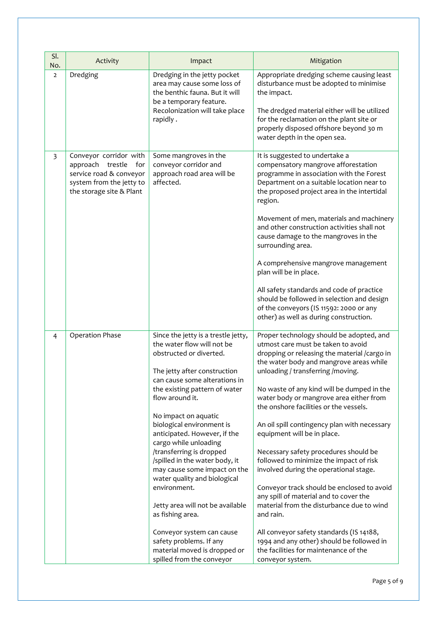| SI.<br>No.              | Activity                                                                                                                             | Impact                                                                                                                                                                                                                                                                                                                                                                                                                                                                                                                                                                                                                                                     | Mitigation                                                                                                                                                                                                                                                                                                                                                                                                                                                                                                                                                                                                                                                                                                                                                                                                                                                             |  |
|-------------------------|--------------------------------------------------------------------------------------------------------------------------------------|------------------------------------------------------------------------------------------------------------------------------------------------------------------------------------------------------------------------------------------------------------------------------------------------------------------------------------------------------------------------------------------------------------------------------------------------------------------------------------------------------------------------------------------------------------------------------------------------------------------------------------------------------------|------------------------------------------------------------------------------------------------------------------------------------------------------------------------------------------------------------------------------------------------------------------------------------------------------------------------------------------------------------------------------------------------------------------------------------------------------------------------------------------------------------------------------------------------------------------------------------------------------------------------------------------------------------------------------------------------------------------------------------------------------------------------------------------------------------------------------------------------------------------------|--|
| $\overline{2}$          | Dredging                                                                                                                             | Dredging in the jetty pocket<br>area may cause some loss of<br>the benthic fauna. But it will<br>be a temporary feature.<br>Recolonization will take place<br>rapidly.                                                                                                                                                                                                                                                                                                                                                                                                                                                                                     | Appropriate dredging scheme causing least<br>disturbance must be adopted to minimise<br>the impact.<br>The dredged material either will be utilized<br>for the reclamation on the plant site or<br>properly disposed offshore beyond 30 m<br>water depth in the open sea.                                                                                                                                                                                                                                                                                                                                                                                                                                                                                                                                                                                              |  |
| $\overline{\mathbf{3}}$ | Conveyor corridor with<br>approach trestle<br>for<br>service road & conveyor<br>system from the jetty to<br>the storage site & Plant | Some mangroves in the<br>conveyor corridor and<br>approach road area will be<br>affected.                                                                                                                                                                                                                                                                                                                                                                                                                                                                                                                                                                  | It is suggested to undertake a<br>compensatory mangrove afforestation<br>programme in association with the Forest<br>Department on a suitable location near to<br>the proposed project area in the intertidal<br>region.<br>Movement of men, materials and machinery<br>and other construction activities shall not<br>cause damage to the mangroves in the<br>surrounding area.<br>A comprehensive mangrove management<br>plan will be in place.<br>All safety standards and code of practice<br>should be followed in selection and design<br>of the conveyors (IS 11592: 2000 or any<br>other) as well as during construction.                                                                                                                                                                                                                                      |  |
| $\overline{4}$          | <b>Operation Phase</b>                                                                                                               | Since the jetty is a trestle jetty,<br>the water flow will not be<br>obstructed or diverted.<br>The jetty after construction<br>can cause some alterations in<br>the existing pattern of water<br>flow around it.<br>No impact on aquatic<br>biological environment is<br>anticipated. However, if the<br>cargo while unloading<br>/transferring is dropped<br>/spilled in the water body, it<br>may cause some impact on the<br>water quality and biological<br>environment.<br>Jetty area will not be available<br>as fishing area.<br>Conveyor system can cause<br>safety problems. If any<br>material moved is dropped or<br>spilled from the conveyor | Proper technology should be adopted, and<br>utmost care must be taken to avoid<br>dropping or releasing the material /cargo in<br>the water body and mangrove areas while<br>unloading / transferring /moving.<br>No waste of any kind will be dumped in the<br>water body or mangrove area either from<br>the onshore facilities or the vessels.<br>An oil spill contingency plan with necessary<br>equipment will be in place.<br>Necessary safety procedures should be<br>followed to minimize the impact of risk<br>involved during the operational stage.<br>Conveyor track should be enclosed to avoid<br>any spill of material and to cover the<br>material from the disturbance due to wind<br>and rain.<br>All conveyor safety standards (IS 14188,<br>1994 and any other) should be followed in<br>the facilities for maintenance of the<br>conveyor system. |  |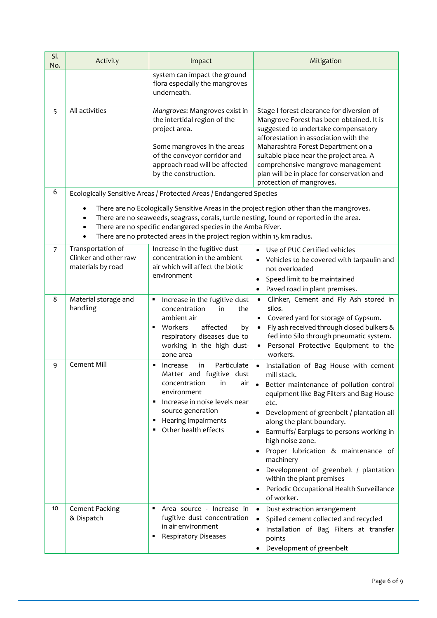| SI.<br>No.     | Activity                                                                                                                                                                                                                                                                                                                                                                           | Impact                                                                                                                                                                                                                          | Mitigation                                                                                                                                                                                                                                                                                                                                                                                                                                                                                      |  |  |  |
|----------------|------------------------------------------------------------------------------------------------------------------------------------------------------------------------------------------------------------------------------------------------------------------------------------------------------------------------------------------------------------------------------------|---------------------------------------------------------------------------------------------------------------------------------------------------------------------------------------------------------------------------------|-------------------------------------------------------------------------------------------------------------------------------------------------------------------------------------------------------------------------------------------------------------------------------------------------------------------------------------------------------------------------------------------------------------------------------------------------------------------------------------------------|--|--|--|
|                |                                                                                                                                                                                                                                                                                                                                                                                    | system can impact the ground<br>flora especially the mangroves<br>underneath.                                                                                                                                                   |                                                                                                                                                                                                                                                                                                                                                                                                                                                                                                 |  |  |  |
| 5              | All activities                                                                                                                                                                                                                                                                                                                                                                     | Mangroves: Mangroves exist in<br>the intertidal region of the<br>project area.<br>Some mangroves in the areas<br>of the conveyor corridor and<br>approach road will be affected<br>by the construction.                         | Stage I forest clearance for diversion of<br>Mangrove Forest has been obtained. It is<br>suggested to undertake compensatory<br>afforestation in association with the<br>Maharashtra Forest Department on a<br>suitable place near the project area. A<br>comprehensive mangrove management<br>plan will be in place for conservation and<br>protection of mangroves.                                                                                                                           |  |  |  |
| 6              |                                                                                                                                                                                                                                                                                                                                                                                    | Ecologically Sensitive Areas / Protected Areas / Endangered Species                                                                                                                                                             |                                                                                                                                                                                                                                                                                                                                                                                                                                                                                                 |  |  |  |
|                | There are no Ecologically Sensitive Areas in the project region other than the mangroves.<br>$\bullet$<br>There are no seaweeds, seagrass, corals, turtle nesting, found or reported in the area.<br>$\bullet$<br>There are no specific endangered species in the Amba River.<br>$\bullet$<br>There are no protected areas in the project region within 15 km radius.<br>$\bullet$ |                                                                                                                                                                                                                                 |                                                                                                                                                                                                                                                                                                                                                                                                                                                                                                 |  |  |  |
| $\overline{7}$ | Transportation of<br>Clinker and other raw<br>materials by road                                                                                                                                                                                                                                                                                                                    | Increase in the fugitive dust<br>concentration in the ambient<br>air which will affect the biotic<br>environment                                                                                                                | • Use of PUC Certified vehicles<br>• Vehicles to be covered with tarpaulin and<br>not overloaded<br>Speed limit to be maintained<br>Paved road in plant premises.                                                                                                                                                                                                                                                                                                                               |  |  |  |
| 8              | Material storage and<br>handling                                                                                                                                                                                                                                                                                                                                                   | Increase in the fugitive dust<br>٠<br>concentration<br>in<br>the<br>ambient air<br>affected<br>Workers<br>by<br>٠<br>respiratory diseases due to<br>working in the high dust-<br>zone area                                      | Clinker, Cement and Fly Ash stored in<br>silos.<br>Covered yard for storage of Gypsum.<br>Fly ash received through closed bulkers &<br>$\bullet$<br>fed into Silo through pneumatic system.<br>Personal Protective Equipment to the<br>workers.                                                                                                                                                                                                                                                 |  |  |  |
| 9              | Cement Mill                                                                                                                                                                                                                                                                                                                                                                        | Particulate<br>in<br>Increase<br>٠<br>Matter and fugitive dust<br>concentration<br>in<br>air<br>environment<br>Increase in noise levels near<br>п<br>source generation<br>Hearing impairments<br>٠<br>Other health effects<br>٠ | Installation of Bag House with cement<br>mill stack.<br>Better maintenance of pollution control<br>equipment like Bag Filters and Bag House<br>etc.<br>Development of greenbelt / plantation all<br>$\bullet$<br>along the plant boundary.<br>Earmuffs/ Earplugs to persons working in<br>high noise zone.<br>Proper lubrication & maintenance of<br>machinery<br>Development of greenbelt / plantation<br>within the plant premises<br>Periodic Occupational Health Surveillance<br>of worker. |  |  |  |
| 10             | Cement Packing<br>& Dispatch                                                                                                                                                                                                                                                                                                                                                       | Area source - Increase in<br>fugitive dust concentration<br>in air environment<br><b>Respiratory Diseases</b>                                                                                                                   | $\bullet$<br>Dust extraction arrangement<br>Spilled cement collected and recycled<br>Installation of Bag Filters at transfer<br>points<br>Development of greenbelt                                                                                                                                                                                                                                                                                                                              |  |  |  |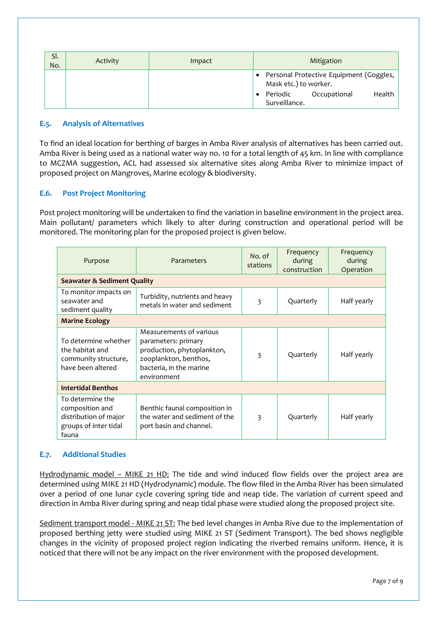| SI.<br>No. | Activity | Impact | Mitigation                                                                                                              |  |  |
|------------|----------|--------|-------------------------------------------------------------------------------------------------------------------------|--|--|
|            |          |        | Personal Protective Equipment (Goggles,<br>Mask etc.) to worker.<br>Health<br>Periodic<br>Occupational<br>Surveillance. |  |  |

#### **E.5. Analysis of Alternatives**

To find an ideal location for berthing of barges in Amba River analysis of alternatives has been carried out. Amba River is being used as a national water way no. 10 for a total length of 45 km. In line with compliance to MCZMA suggestion, ACL had assessed six alternative sites along Amba River to minimize impact of proposed project on Mangroves, Marine ecology & biodiversity.

# **E.6. Post Project Monitoring**

Post project monitoring will be undertaken to find the variation in baseline environment in the project area. Main pollutant/ parameters which likely to alter during construction and operational period will be monitored. The monitoring plan for the proposed project is given below.

| Purpose                                                                                        | Parameters                                                                                                                                      | No. of<br>stations | Frequency<br>during<br>construction | Frequency<br>during<br>Operation |  |
|------------------------------------------------------------------------------------------------|-------------------------------------------------------------------------------------------------------------------------------------------------|--------------------|-------------------------------------|----------------------------------|--|
| <b>Seawater &amp; Sediment Quality</b>                                                         |                                                                                                                                                 |                    |                                     |                                  |  |
| To monitor impacts on<br>seawater and<br>sediment quality                                      | Turbidity, nutrients and heavy<br>metals in water and sediment                                                                                  | 3                  | Quarterly                           | Half yearly                      |  |
| <b>Marine Ecology</b>                                                                          |                                                                                                                                                 |                    |                                     |                                  |  |
| To determine whether<br>the habitat and<br>community structure,<br>have been altered           | Measurements of various<br>parameters: primary<br>production, phytoplankton,<br>zooplankton, benthos,<br>bacteria, in the marine<br>environment | 3                  | Quarterly                           | Half yearly                      |  |
| <b>Intertidal Benthos</b>                                                                      |                                                                                                                                                 |                    |                                     |                                  |  |
| To determine the<br>composition and<br>distribution of major<br>groups of inter tidal<br>fauna | Benthic faunal composition in<br>the water and sediment of the<br>port basin and channel.                                                       | 3                  | Quarterly                           | Half yearly                      |  |

# **E.7. Additional Studies**

Hydrodynamic model – MIKE 21 HD: The tide and wind induced flow fields over the project area are determined using MIKE 21 HD (Hydrodynamic) module. The flow filed in the Amba River has been simulated over a period of one lunar cycle covering spring tide and neap tide. The variation of current speed and direction in Amba River during spring and neap tidal phase were studied along the proposed project site.

Sediment transport model - MIKE 21 ST: The bed level changes in Amba Rive due to the implementation of proposed berthing jetty were studied using MIKE 21 ST (Sediment Transport). The bed shows negligible changes in the vicinity of proposed project region indicating the riverbed remains uniform. Hence, it is noticed that there will not be any impact on the river environment with the proposed development.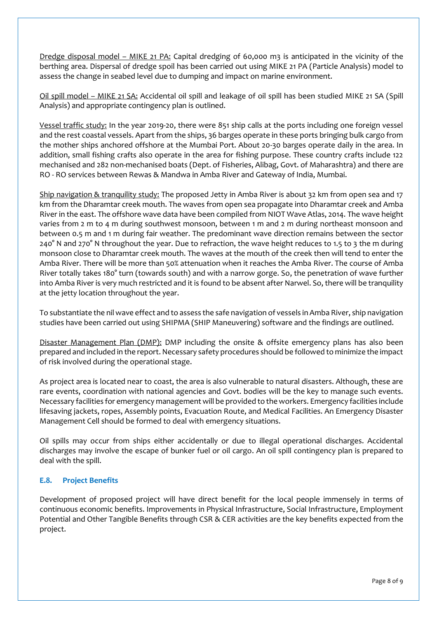Dredge disposal model – MIKE 21 PA: Capital dredging of 60,000 m3 is anticipated in the vicinity of the berthing area. Dispersal of dredge spoil has been carried out using MIKE 21 PA (Particle Analysis) model to assess the change in seabed level due to dumping and impact on marine environment.

Oil spill model – MIKE 21 SA: Accidental oil spill and leakage of oil spill has been studied MIKE 21 SA (Spill Analysis) and appropriate contingency plan is outlined.

Vessel traffic study: In the year 2019-20, there were 851 ship calls at the ports including one foreign vessel and the rest coastal vessels. Apart from the ships, 36 barges operate in these ports bringing bulk cargo from the mother ships anchored offshore at the Mumbai Port. About 20-30 barges operate daily in the area. In addition, small fishing crafts also operate in the area for fishing purpose. These country crafts include 122 mechanised and 282 non-mechanised boats (Dept. of Fisheries, Alibag, Govt. of Maharashtra) and there are RO - RO services between Rewas & Mandwa in Amba River and Gateway of India, Mumbai.

Ship navigation & tranquility study: The proposed Jetty in Amba River is about 32 km from open sea and 17 km from the Dharamtar creek mouth. The waves from open sea propagate into Dharamtar creek and Amba River in the east. The offshore wave data have been compiled from NIOT Wave Atlas, 2014. The wave height varies from 2 m to 4 m during southwest monsoon, between 1 m and 2 m during northeast monsoon and between 0.5 m and 1 m during fair weather. The predominant wave direction remains between the sector 240° N and 270° N throughout the year. Due to refraction, the wave height reduces to 1.5 to 3 the m during monsoon close to Dharamtar creek mouth. The waves at the mouth of the creek then will tend to enter the Amba River. There will be more than 50% attenuation when it reaches the Amba River. The course of Amba River totally takes 180° turn (towards south) and with a narrow gorge. So, the penetration of wave further into Amba River is very much restricted and it is found to be absent after Narwel. So, there will be tranquility at the jetty location throughout the year.

To substantiate the nil wave effect and to assess the safe navigation of vessels in Amba River, ship navigation studies have been carried out using SHIPMA (SHIP Maneuvering) software and the findings are outlined.

Disaster Management Plan (DMP): DMP including the onsite & offsite emergency plans has also been prepared and included in the report. Necessary safety procedures should be followed to minimize the impact of risk involved during the operational stage.

As project area is located near to coast, the area is also vulnerable to natural disasters. Although, these are rare events, coordination with national agencies and Govt. bodies will be the key to manage such events. Necessary facilities for emergency management will be provided to the workers. Emergency facilities include lifesaving jackets, ropes, Assembly points, Evacuation Route, and Medical Facilities. An Emergency Disaster Management Cell should be formed to deal with emergency situations.

Oil spills may occur from ships either accidentally or due to illegal operational discharges. Accidental discharges may involve the escape of bunker fuel or oil cargo. An oil spill contingency plan is prepared to deal with the spill.

# **E.8. Project Benefits**

Development of proposed project will have direct benefit for the local people immensely in terms of continuous economic benefits. Improvements in Physical Infrastructure, Social Infrastructure, Employment Potential and Other Tangible Benefits through CSR & CER activities are the key benefits expected from the project.